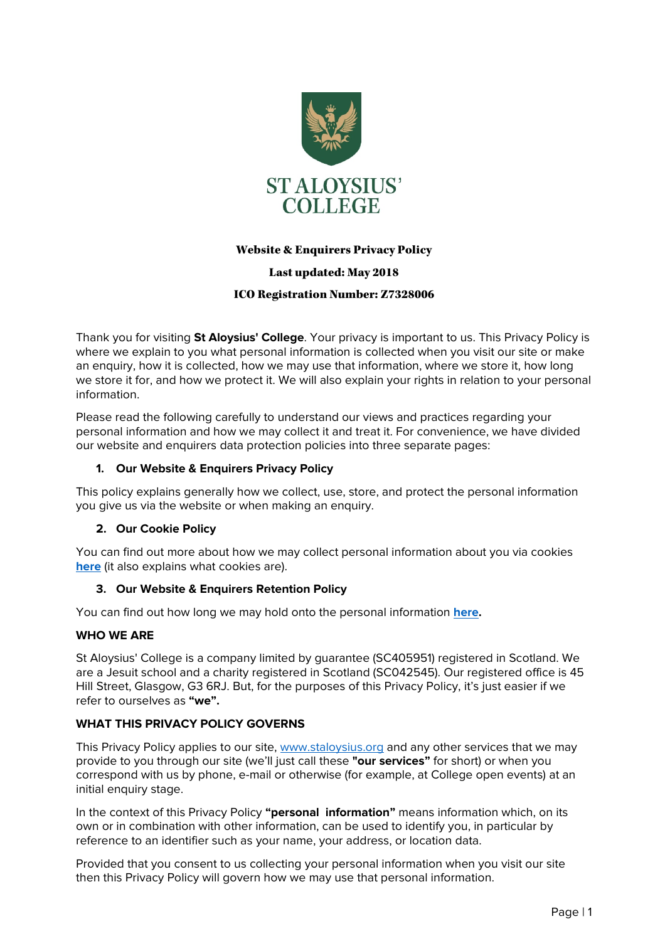

# Website & Enquirers Privacy Policy

# Last updated: May 2018

# ICO Registration Number: Z7328006

Thank you for visiting **St Aloysius' College**. Your privacy is important to us. This Privacy Policy is where we explain to you what personal information is collected when you visit our site or make an enquiry, how it is collected, how we may use that information, where we store it, how long we store it for, and how we protect it. We will also explain your rights in relation to your personal information.

Please read the following carefully to understand our views and practices regarding your personal information and how we may collect it and treat it. For convenience, we have divided our website and enquirers data protection policies into three separate pages:

# **1. Our Website & Enquirers Privacy Policy**

This policy explains generally how we collect, use, store, and protect the personal information you give us via the website or when making an enquiry.

### **2. Our Cookie Policy**

You can find out more about how we may collect personal information about you via cookies **[here](https://www.staloysius.org/aloysian-life/policies-and-procedures-112)** (it also explains what cookies are).

### **3. Our Website & Enquirers Retention Policy**

You can find out how long we may hold onto the personal information **[here.](https://www.staloysius.org/aloysian-life/policies-and-procedures-112)**

### **WHO WE ARE**

St Aloysius' College is a company limited by guarantee (SC405951) registered in Scotland. We are a Jesuit school and a charity registered in Scotland (SC042545). Our registered office is 45 Hill Street, Glasgow, G3 6RJ. But, for the purposes of this Privacy Policy, it's just easier if we refer to ourselves as **"we".**

# **WHAT THIS PRIVACY POLICY GOVERNS**

This Privacy Policy applies to our site[, www.staloysius.org](http://www.staloysius.org/) and any other services that we may provide to you through our site (we'll just call these **"our services"** for short) or when you correspond with us by phone, e-mail or otherwise (for example, at College open events) at an initial enquiry stage.

In the context of this Privacy Policy **"personal information"** means information which, on its own or in combination with other information, can be used to identify you, in particular by reference to an identifier such as your name, your address, or location data.

Provided that you consent to us collecting your personal information when you visit our site then this Privacy Policy will govern how we may use that personal information.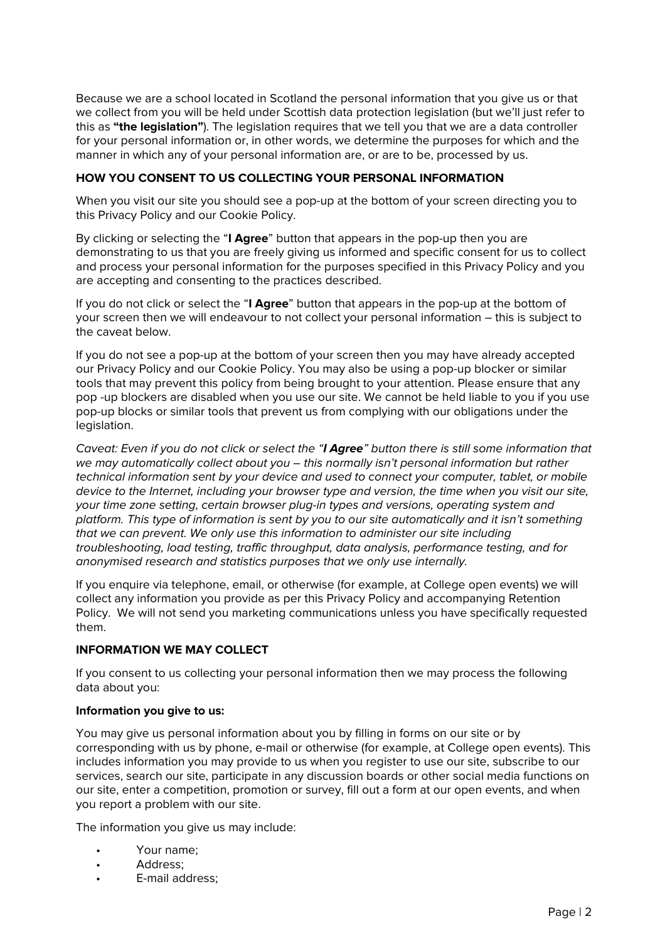Because we are a school located in Scotland the personal information that you give us or that we collect from you will be held under Scottish data protection legislation (but we'll just refer to this as **"the legislation"**). The legislation requires that we tell you that we are a data controller for your personal information or, in other words, we determine the purposes for which and the manner in which any of your personal information are, or are to be, processed by us.

# **HOW YOU CONSENT TO US COLLECTING YOUR PERSONAL INFORMATION**

When you visit our site you should see a pop-up at the bottom of your screen directing you to this Privacy Policy and our Cookie Policy.

By clicking or selecting the "**I Agree**" button that appears in the pop-up then you are demonstrating to us that you are freely giving us informed and specific consent for us to collect and process your personal information for the purposes specified in this Privacy Policy and you are accepting and consenting to the practices described.

If you do not click or select the "**I Agree**" button that appears in the pop-up at the bottom of your screen then we will endeavour to not collect your personal information – this is subject to the caveat below.

If you do not see a pop-up at the bottom of your screen then you may have already accepted our Privacy Policy and our Cookie Policy. You may also be using a pop-up blocker or similar tools that may prevent this policy from being brought to your attention. Please ensure that any pop -up blockers are disabled when you use our site. We cannot be held liable to you if you use pop-up blocks or similar tools that prevent us from complying with our obligations under the legislation.

Caveat: Even if you do not click or select the "**I Agree**" button there is still some information that we may automatically collect about you - this normally isn't personal information but rather technical information sent by your device and used to connect your computer, tablet, or mobile device to the Internet, including your browser type and version, the time when you visit our site, your time zone setting, certain browser plug-in types and versions, operating system and platform. This type of information is sent by you to our site automatically and it isn't something that we can prevent. We only use this information to administer our site including troubleshooting, load testing, traffic throughput, data analysis, performance testing, and for anonymised research and statistics purposes that we only use internally.

If you enquire via telephone, email, or otherwise (for example, at College open events) we will collect any information you provide as per this Privacy Policy and accompanying Retention Policy. We will not send you marketing communications unless you have specifically requested them.

# **INFORMATION WE MAY COLLECT**

If you consent to us collecting your personal information then we may process the following data about you:

### **Information you give to us:**

You may give us personal information about you by filling in forms on our site or by corresponding with us by phone, e-mail or otherwise (for example, at College open events). This includes information you may provide to us when you register to use our site, subscribe to our services, search our site, participate in any discussion boards or other social media functions on our site, enter a competition, promotion or survey, fill out a form at our open events, and when you report a problem with our site.

The information you give us may include:

- Your name;
- Address:
- E-mail address: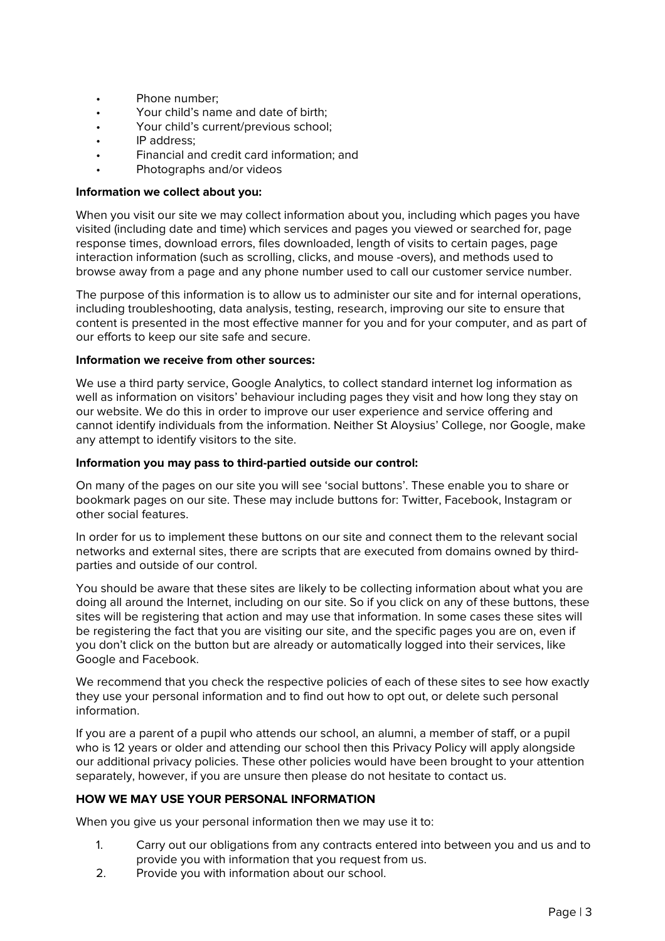- Phone number;
- Your child's name and date of birth;
- Your child's current/previous school;
- IP address:
- Financial and credit card information; and
- Photographs and/or videos

#### **Information we collect about you:**

When you visit our site we may collect information about you, including which pages you have visited (including date and time) which services and pages you viewed or searched for, page response times, download errors, files downloaded, length of visits to certain pages, page interaction information (such as scrolling, clicks, and mouse -overs), and methods used to browse away from a page and any phone number used to call our customer service number.

The purpose of this information is to allow us to administer our site and for internal operations, including troubleshooting, data analysis, testing, research, improving our site to ensure that content is presented in the most effective manner for you and for your computer, and as part of our efforts to keep our site safe and secure.

#### **Information we receive from other sources:**

We use a third party service, Google Analytics, to collect standard internet log information as well as information on visitors' behaviour including pages they visit and how long they stay on our website. We do this in order to improve our user experience and service offering and cannot identify individuals from the information. Neither St Aloysius' College, nor Google, make any attempt to identify visitors to the site.

#### **Information you may pass to third-partied outside our control:**

On many of the pages on our site you will see 'social buttons'. These enable you to share or bookmark pages on our site. These may include buttons for: Twitter, Facebook, Instagram or other social features.

In order for us to implement these buttons on our site and connect them to the relevant social networks and external sites, there are scripts that are executed from domains owned by thirdparties and outside of our control.

You should be aware that these sites are likely to be collecting information about what you are doing all around the Internet, including on our site. So if you click on any of these buttons, these sites will be registering that action and may use that information. In some cases these sites will be registering the fact that you are visiting our site, and the specific pages you are on, even if you don't click on the button but are already or automatically logged into their services, like Google and Facebook.

We recommend that you check the respective policies of each of these sites to see how exactly they use your personal information and to find out how to opt out, or delete such personal information.

If you are a parent of a pupil who attends our school, an alumni, a member of staff, or a pupil who is 12 years or older and attending our school then this Privacy Policy will apply alongside our additional privacy policies. These other policies would have been brought to your attention separately, however, if you are unsure then please do not hesitate to contact us.

# **HOW WE MAY USE YOUR PERSONAL INFORMATION**

When you give us your personal information then we may use it to:

- 1. Carry out our obligations from any contracts entered into between you and us and to provide you with information that you request from us.
- 2. Provide you with information about our school.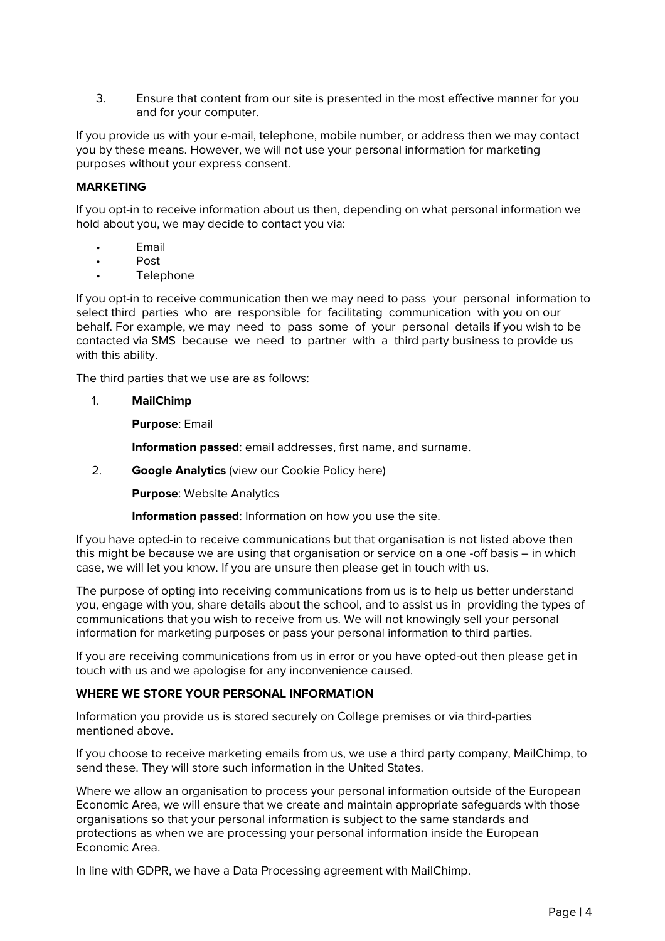3. Ensure that content from our site is presented in the most effective manner for you and for your computer.

If you provide us with your e-mail, telephone, mobile number, or address then we may contact you by these means. However, we will not use your personal information for marketing purposes without your express consent.

# **MARKETING**

If you opt-in to receive information about us then, depending on what personal information we hold about you, we may decide to contact you via:

- **Email**
- Post
- **Telephone**

If you opt-in to receive communication then we may need to pass your personal information to select third parties who are responsible for facilitating communication with you on our behalf. For example, we may need to pass some of your personal details if you wish to be contacted via SMS because we need to partner with a third party business to provide us with this ability.

The third parties that we use are as follows:

#### 1. **MailChimp**

**Purpose**: Email

**Information passed**: email addresses, first name, and surname.

2. **Google Analytics** (view our Cookie Policy here)

**Purpose**: Website Analytics

**Information passed**: Information on how you use the site.

If you have opted-in to receive communications but that organisation is not listed above then this might be because we are using that organisation or service on a one -off basis – in which case, we will let you know. If you are unsure then please get in touch with us.

The purpose of opting into receiving communications from us is to help us better understand you, engage with you, share details about the school, and to assist us in providing the types of communications that you wish to receive from us. We will not knowingly sell your personal information for marketing purposes or pass your personal information to third parties.

If you are receiving communications from us in error or you have opted-out then please get in touch with us and we apologise for any inconvenience caused.

### **WHERE WE STORE YOUR PERSONAL INFORMATION**

Information you provide us is stored securely on College premises or via third-parties mentioned above.

If you choose to receive marketing emails from us, we use a third party company, MailChimp, to send these. They will store such information in the United States.

Where we allow an organisation to process your personal information outside of the European Economic Area, we will ensure that we create and maintain appropriate safeguards with those organisations so that your personal information is subject to the same standards and protections as when we are processing your personal information inside the European Economic Area.

In line with GDPR, we have a Data Processing agreement with MailChimp.